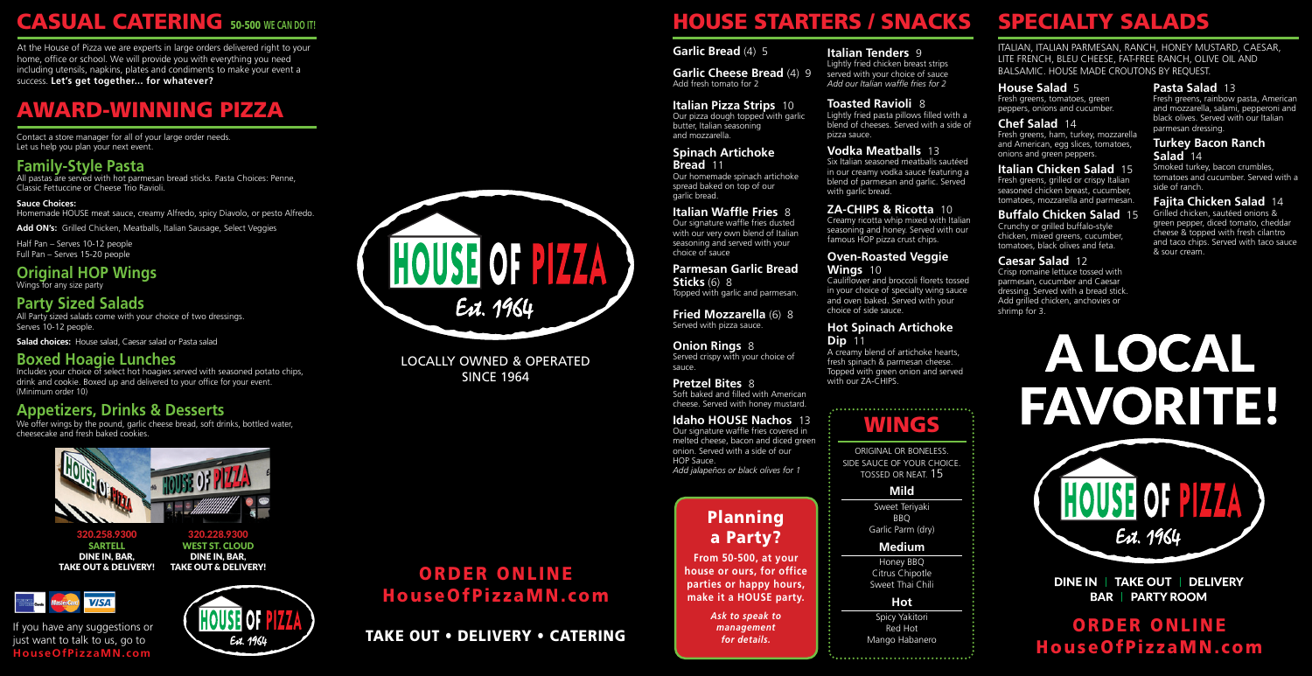#### **Garlic Bread** (4) 5

#### **Garlic Cheese Bread** (4) 9 Add fresh tomato for 2

### **Italian Pizza Strips** 10

Our pizza dough topped with garlic butter, Italian seasoning and mozzarella.

### **Spinach Artichoke**

**Bread** 11 Our homemade spinach artichoke spread baked on top of our garlic bread.

### **Italian Waffle Fries** 8

Our signature waffle fries dusted with our very own blend of Italian seasoning and served with your choice of sauce

**Parmesan Garlic Bread Sticks** (6) 8

Topped with garlic and parmesan.

#### served with your choice of sauce *Add our Italian waffle fries for 2*

**Fried Mozzarella** (6) 8 Served with pizza sauce.

Six Italian seasoned meatballs sautéed in our creamy vodka sauce featuring a blend of parmesan and garlic. Served with garlic bread.

**Onion Rings** 8 Served crispy with your choice of sauce.

### **Pretzel Bites** 8

Soft baked and filled with American cheese. Served with honey mustard.

### **Idaho HOUSE Nachos** 13

Our signature waffle fries covered in melted cheese, bacon and diced green onion. Served with a side of our HOP Sauce. *Add jalapeños or black olives for 1*

A creamy blend of artichoke hearts, fresh spinach & parmesan cheese. Topped with green onion and served with our ZA-CHIPS.

#### **Italian Tenders** 9 Lightly fried chicken breast strips

**Toasted Ravioli** 8

Lightly fried pasta pillows filled with a blend of cheeses. Served with a side of pizza sauce.

### **Vodka Meatballs** 13

### **ZA-CHIPS & Ricotta** 10

Creamy ricotta whip mixed with Italian seasoning and honey. Served with our famous HOP pizza crust chips.

### **Oven-Roasted Veggie Wings** 10

Cauliflower and broccoli florets tossed in your choice of specialty wing sauce and oven baked. Served with your choice of side sauce.

### **Hot Spinach Artichoke Dip** 11

## HOUSE STARTERS / SNACKS

### **Mild**

Sweet Teriyaki BBQ Garlic Parm (dry)

### **Hot**

Spicy Yakitori Red Hot Mango Habanero

### **Medium**

Honey BBQ Citrus Chipotle Sweet Thai Chili

WINGS

ITALIAN, ITALIAN PARMESAN, RANCH, HONEY MUSTARD, CAESAR, LITE FRENCH, BLEU CHEESE, FAT-FREE RANCH, OLIVE OIL AND BALSAMIC. HOUSE MADE CROUTONS BY REQUEST.

### **House Salad** 5

Fresh greens, tomatoes, green peppers, onions and cucumber.

### **Chef Salad** 14

**Boxed Hoagie Lunches**<br>Includes your choice of select hot hoagies served with seasoned potato chips, drink and cookie. Boxed up and delivered to your office for your event. (Minimum order 10)

Fresh greens, ham, turkey, mozzarella and American, egg slices, tomatoes, onions and green peppers.

We offer wings by the pound, garlic cheese bread, soft drinks, bottled water, cheesecake and fresh baked cookies.

### **Italian Chicken Salad** 15

Fresh greens, grilled or crispy Italian seasoned chicken breast, cucumber, tomatoes, mozzarella and parmesan.

### LOCALLY OWNED & OPERATED **SINCE 1964**

### **Buffalo Chicken Salad** 15

Crunchy or grilled buffalo-style chicken, mixed greens, cucumber, tomatoes, black olives and feta.

### **Caesar Salad** 12

Crisp romaine lettuce tossed with parmesan, cucumber and Caesar dressing. Served with a bread stick. Add grilled chicken, anchovies or shrimp for 3.

### **Pasta Salad** 13

Fresh greens, rainbow pasta, American and mozzarella, salami, pepperoni and black olives. Served with our Italian parmesan dressing.

### **Turkey Bacon Ranch Salad** 14

Smoked turkey, bacon crumbles, tomatoes and cucumber. Served with a side of ranch.

### **Fajita Chicken Salad** 14

Grilled chicken, sautéed onions & green pepper, diced tomato, cheddar cheese & topped with fresh cilantro and taco chips. Served with taco sauce & sour cream.



**DINE IN | TAKE OUT | DELIVERY BAR | PARTY ROOM** 

## SPECIALTY SALADS

## HouseOfPizzaMN.com ORDER ONLINE

TAKE OUT • DELIVERY • CATERING

Contact a store manager for all of your large order needs. Let us help you plan your next event.

## **CASUAL CATERING 50-500 WE CAN DO IT!**

At the House of Pizza we are experts in large orders delivered right to your home, office or school. We will provide you with everything you need including utensils, napkins, plates and condiments to make your event a success. **Let's get together... for whatever?**

## AWARD-WINNING PIZZA

### **Family-Style Pasta**

All pastas are served with hot parmesan bread sticks. Pasta Choices: Penne, Classic Fettuccine or Cheese Trio Ravioli.

**Sauce Choices:** Homemade HOUSE meat sauce, creamy Alfredo, spicy Diavolo, or pesto Alfredo.

Add ON's: Grilled Chicken, Meatballs, Italian Sausage, Select Veggies

Half Pan – Serves 10-12 people Full Pan – Serves 15-20 people

### **Original HOP Wings** Wings for any size party

### **Party Sized Salads**

All Party sized salads come with your choice of two dressings. Serves 10-12 people.

**Salad choices:** House salad, Caesar salad or Pasta salad

### **Appetizers, Drinks & Desserts**

If you have any suggestions or just want to talk to us, go to **HouseOfPizzaMN.com**







SARTELL DINE IN, BAR, TAKE OUT & DELIVERY!





### HouseOfPizzaMN.com ORDER ONLINE

### Planning a Party?

**From 50-500, at your house or ours, for office parties or happy hours, make it a HOUSE party.** 

> *Ask to speak to management for details.*

ORIGINAL OR BONELESS. SIDE SAUCE OF YOUR CHOICE. TOSSED OR NEAT. 15